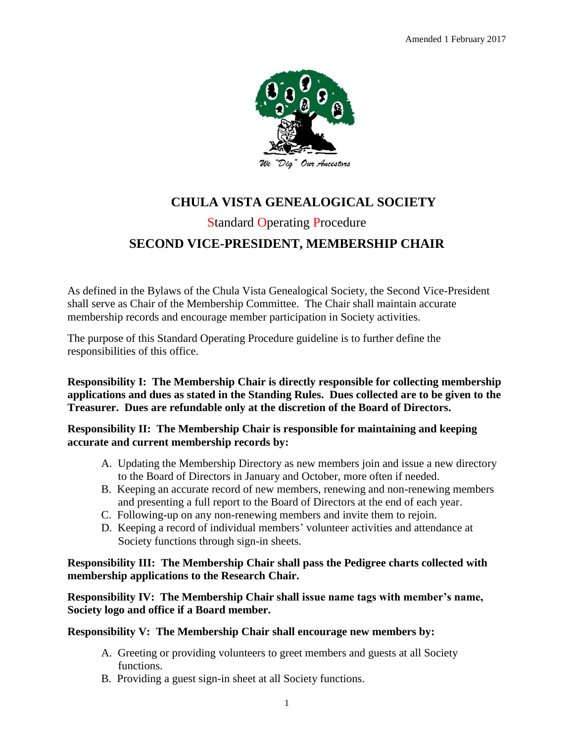

# **CHULA VISTA GENEALOGICAL SOCIETY** Standard Operating Procedure **SECOND VICE-PRESIDENT, MEMBERSHIP CHAIR**

As defined in the Bylaws of the Chula Vista Genealogical Society, the Second Vice-President shall serve as Chair of the Membership Committee. The Chair shall maintain accurate membership records and encourage member participation in Society activities.

The purpose of this Standard Operating Procedure guideline is to further define the responsibilities of this office.

**Responsibility I: The Membership Chair is directly responsible for collecting membership applications and dues as stated in the Standing Rules. Dues collected are to be given to the Treasurer. Dues are refundable only at the discretion of the Board of Directors.**

**Responsibility II: The Membership Chair is responsible for maintaining and keeping accurate and current membership records by:**

- A. Updating the Membership Directory as new members join and issue a new directory to the Board of Directors in January and October, more often if needed.
- B. Keeping an accurate record of new members, renewing and non-renewing members and presenting a full report to the Board of Directors at the end of each year.
- C. Following-up on any non-renewing members and invite them to rejoin.
- D. Keeping a record of individual members' volunteer activities and attendance at Society functions through sign-in sheets.

# **Responsibility III: The Membership Chair shall pass the Pedigree charts collected with membership applications to the Research Chair.**

**Responsibility IV: The Membership Chair shall issue name tags with member's name, Society logo and office if a Board member.**

**Responsibility V: The Membership Chair shall encourage new members by:**

- A. Greeting or providing volunteers to greet members and guests at all Society functions.
- B. Providing a guest sign-in sheet at all Society functions.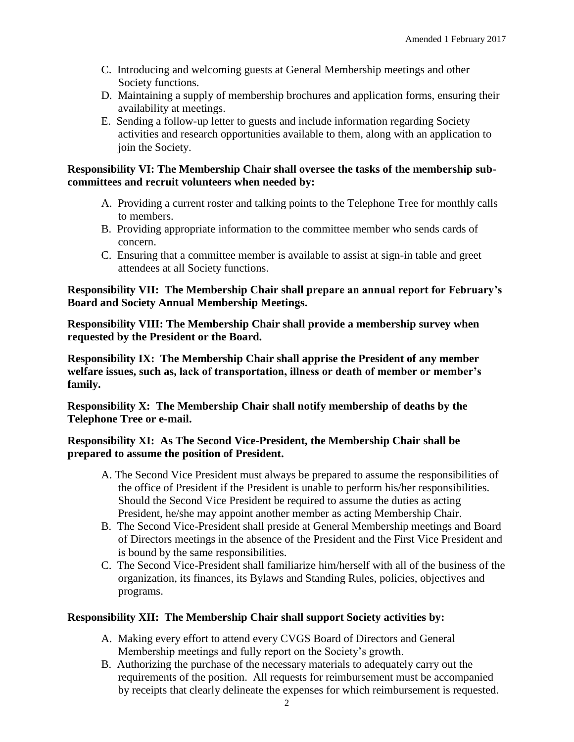- C. Introducing and welcoming guests at General Membership meetings and other Society functions.
- D. Maintaining a supply of membership brochures and application forms, ensuring their availability at meetings.
- E. Sending a follow-up letter to guests and include information regarding Society activities and research opportunities available to them, along with an application to join the Society.

## **Responsibility VI: The Membership Chair shall oversee the tasks of the membership subcommittees and recruit volunteers when needed by:**

- A. Providing a current roster and talking points to the Telephone Tree for monthly calls to members.
- B. Providing appropriate information to the committee member who sends cards of concern.
- C. Ensuring that a committee member is available to assist at sign-in table and greet attendees at all Society functions.

# **Responsibility VII: The Membership Chair shall prepare an annual report for February's Board and Society Annual Membership Meetings.**

**Responsibility VIII: The Membership Chair shall provide a membership survey when requested by the President or the Board.**

**Responsibility IX: The Membership Chair shall apprise the President of any member welfare issues, such as, lack of transportation, illness or death of member or member's family.** 

**Responsibility X: The Membership Chair shall notify membership of deaths by the Telephone Tree or e-mail.**

# **Responsibility XI: As The Second Vice-President, the Membership Chair shall be prepared to assume the position of President.**

- A. The Second Vice President must always be prepared to assume the responsibilities of the office of President if the President is unable to perform his/her responsibilities. Should the Second Vice President be required to assume the duties as acting President, he/she may appoint another member as acting Membership Chair.
- B. The Second Vice-President shall preside at General Membership meetings and Board of Directors meetings in the absence of the President and the First Vice President and is bound by the same responsibilities.
- C. The Second Vice-President shall familiarize him/herself with all of the business of the organization, its finances, its Bylaws and Standing Rules, policies, objectives and programs.

# **Responsibility XII: The Membership Chair shall support Society activities by:**

- A. Making every effort to attend every CVGS Board of Directors and General Membership meetings and fully report on the Society's growth.
- B. Authorizing the purchase of the necessary materials to adequately carry out the requirements of the position. All requests for reimbursement must be accompanied by receipts that clearly delineate the expenses for which reimbursement is requested.